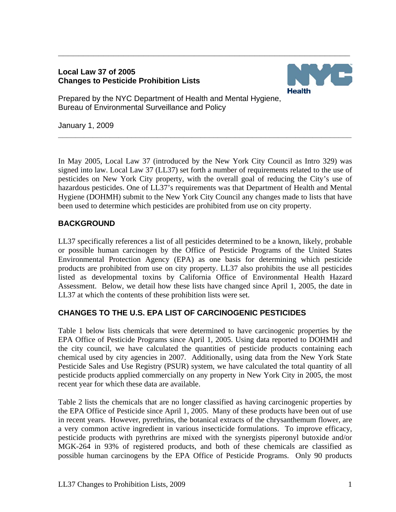### **Local Law 37 of 2005 Changes to Pesticide Prohibition Lists**



Prepared by the NYC Department of Health and Mental Hygiene, Bureau of Environmental Surveillance and Policy

January 1, 2009

In May 2005, Local Law 37 (introduced by the New York City Council as Intro 329) was signed into law. Local Law 37 (LL37) set forth a number of requirements related to the use of pesticides on New York City property, with the overall goal of reducing the City's use of hazardous pesticides. One of LL37's requirements was that Department of Health and Mental Hygiene (DOHMH) submit to the New York City Council any changes made to lists that have been used to determine which pesticides are prohibited from use on city property.

**\_\_\_\_\_\_\_\_\_\_\_\_\_\_\_\_\_\_\_\_\_\_\_\_\_\_\_\_\_\_\_\_\_\_\_\_\_\_\_\_\_\_\_\_\_\_\_\_\_\_\_\_\_\_\_\_\_\_\_\_\_\_\_\_\_\_\_\_** 

**\_\_\_\_\_\_\_\_\_\_\_\_\_\_\_\_\_\_\_\_\_\_\_\_\_\_\_\_\_\_\_\_\_\_\_\_\_\_\_\_\_\_\_\_\_\_\_\_\_\_\_\_\_\_\_\_\_\_** 

# **BACKGROUND**

LL37 specifically references a list of all pesticides determined to be a known, likely, probable or possible human carcinogen by the Office of Pesticide Programs of the United States Environmental Protection Agency (EPA) as one basis for determining which pesticide products are prohibited from use on city property. LL37 also prohibits the use all pesticides listed as developmental toxins by California Office of Environmental Health Hazard Assessment. Below, we detail how these lists have changed since April 1, 2005, the date in LL37 at which the contents of these prohibition lists were set.

## **CHANGES TO THE U.S. EPA LIST OF CARCINOGENIC PESTICIDES**

Table 1 below lists chemicals that were determined to have carcinogenic properties by the EPA Office of Pesticide Programs since April 1, 2005. Using data reported to DOHMH and the city council, we have calculated the quantities of pesticide products containing each chemical used by city agencies in 2007. Additionally, using data from the New York State Pesticide Sales and Use Registry (PSUR) system, we have calculated the total quantity of all pesticide products applied commercially on any property in New York City in 2005, the most recent year for which these data are available.

Table 2 lists the chemicals that are no longer classified as having carcinogenic properties by the EPA Office of Pesticide since April 1, 2005. Many of these products have been out of use in recent years. However, pyrethrins, the botanical extracts of the chrysanthemum flower, are a very common active ingredient in various insecticide formulations. To improve efficacy, pesticide products with pyrethrins are mixed with the synergists piperonyl butoxide and/or MGK-264 in 93% of registered products, and both of these chemicals are classified as possible human carcinogens by the EPA Office of Pesticide Programs. Only 90 products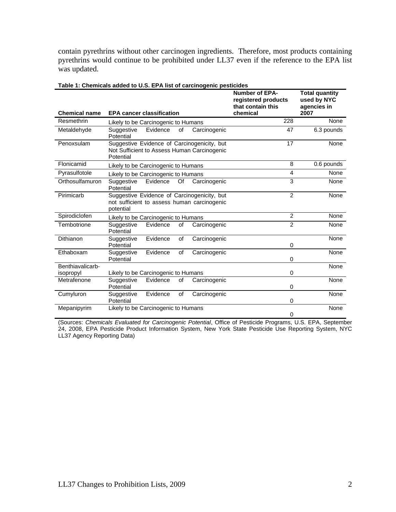contain pyrethrins without other carcinogen ingredients. Therefore, most products containing pyrethrins would continue to be prohibited under LL37 even if the reference to the EPA list was updated.

| <b>Chemical name</b> | <b>EPA cancer classification</b>                                                                        | <b>Number of EPA-</b><br>registered products<br>that contain this<br>chemical | <b>Total quantity</b><br>used by NYC<br>agencies in<br>2007 |
|----------------------|---------------------------------------------------------------------------------------------------------|-------------------------------------------------------------------------------|-------------------------------------------------------------|
| Resmethrin           | Likely to be Carcinogenic to Humans                                                                     | 228                                                                           | None                                                        |
| Metaldehyde          | Suggestive<br>Evidence<br>of<br>Carcinogenic<br>Potential                                               | 47                                                                            | 6.3 pounds                                                  |
| Penoxsulam           | Suggestive Evidence of Carcinogenicity, but<br>Not Sufficient to Assess Human Carcinogenic<br>Potential | 17                                                                            | None                                                        |
| Flonicamid           | Likely to be Carcinogenic to Humans                                                                     | 8                                                                             | 0.6 pounds                                                  |
| Pyrasulfotole        | Likely to be Carcinogenic to Humans                                                                     | $\overline{\mathbf{A}}$                                                       | None                                                        |
| Orthosulfamuron      | Evidence<br>Suggestive<br>Of<br>Carcinogenic<br>Potential                                               | 3                                                                             | None                                                        |
| Pirimicarb           | Suggestive Evidence of Carcinogenicity, but<br>not sufficient to assess human carcinogenic<br>potential | $\overline{2}$                                                                | None                                                        |
| Spirodiclofen        | Likely to be Carcinogenic to Humans                                                                     | $\overline{2}$                                                                | None                                                        |
| Tembotrione          | Evidence<br>Suggestive<br>of<br>Carcinogenic<br>Potential                                               | $\overline{2}$                                                                | None                                                        |
| Dithianon            | Evidence<br>of<br>Carcinogenic<br>Suggestive<br>Potential                                               | $\Omega$                                                                      | None                                                        |
| Ethaboxam            | Suggestive<br>Evidence<br>Carcinogenic<br>of<br>Potential                                               | $\Omega$                                                                      | None                                                        |
| Benthiavalicarb-     |                                                                                                         |                                                                               | None                                                        |
| isopropyl            | Likely to be Carcinogenic to Humans                                                                     | $\Omega$                                                                      |                                                             |
| Metrafenone          | Evidence<br>Suggestive<br>of<br>Carcinogenic<br>Potential                                               | $\Omega$                                                                      | None                                                        |
| Cumyluron            | Evidence<br>of<br>Carcinogenic<br>Suggestive<br>Potential                                               | $\Omega$                                                                      | None                                                        |
| Mepanipyrim          | Likely to be Carcinogenic to Humans                                                                     | 0                                                                             | None                                                        |

### **Table 1: Chemicals added to U.S. EPA list of carcinogenic pesticides**

(Sources: *Chemicals Evaluated for Carcinogenic Potential*, Office of Pesticide Programs, U.S. EPA, September 24, 2008, EPA Pesticide Product Information System, New York State Pesticide Use Reporting System, NYC LL37 Agency Reporting Data)